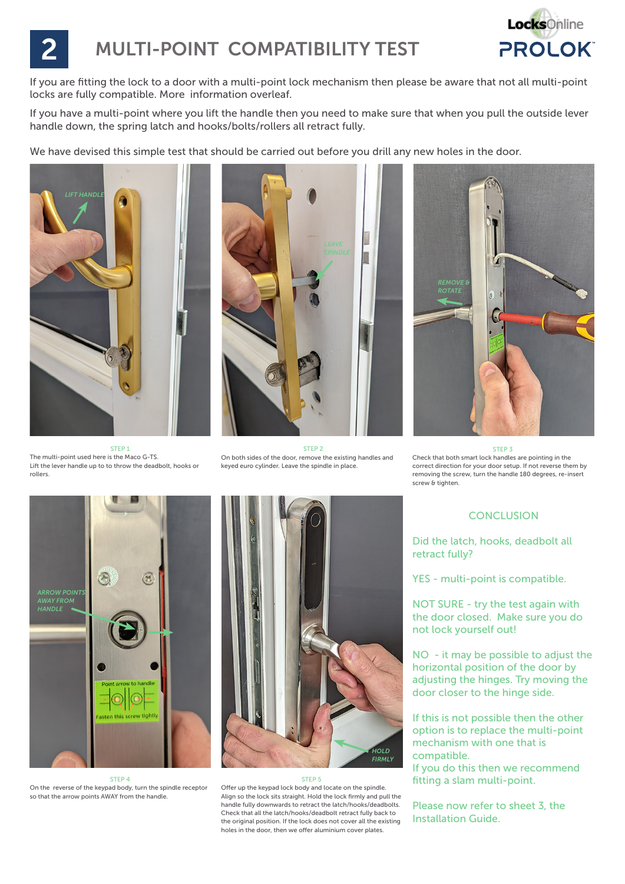

# **MULTI-POINT COMPATIBILITY TEST**

If you are fitting the lock to a door with a multi-point lock mechanism then please be aware that not all multi-point locks are fully compatible. More information overleaf.

If you have a multi-point where you lift the handle then you need to make sure that when you pull the outside lever handle down, the spring latch and hooks/bolts/rollers all retract fully.

We have devised this simple test that should be carried out before you drill any new holes in the door.



STEP 1 The multi-point used here is the Maco G-TS. Lift the lever handle up to to throw the deadbolt, hooks or rollers.



STEP<sub>2</sub> On both sides of the door, remove the existing handles and keyed euro cylinder. Leave the spindle in place.



STEP 3 Check that both smart lock handles are pointing in the correct direction for your door setup. If not reverse them by removing the screw, turn the handle 180 degrees, re-insert screw & tighten.



STEP 4 On the reverse of the keypad body, turn the spindle receptor so that the arrow points AWAY from the handle.



#### STEP<sub>5</sub>

Offer up the keypad lock body and locate on the spindle. Align so the lock sits straight. Hold the lock firmly and pull the handle fully downwards to retract the latch/hooks/deadbolts. Check that all the latch/hooks/deadbolt retract fully back to the original position. If the lock does not cover all the existing holes in the door, then we offer aluminium cover plates.

### **CONCLUSION**

Did the latch, hooks, deadbolt all retract fully?

YES - multi-point is compatible.

NOT SURE - try the test again with the door closed. Make sure you do not lock yourself out!

NO - it may be possible to adjust the horizontal position of the door by adjusting the hinges. Try moving the door closer to the hinge side.

If this is not possible then the other option is to replace the multi-point mechanism with one that is compatible.

If you do this then we recommend fitting a slam multi-point.

Please now refer to sheet 3, the Installation Guide.